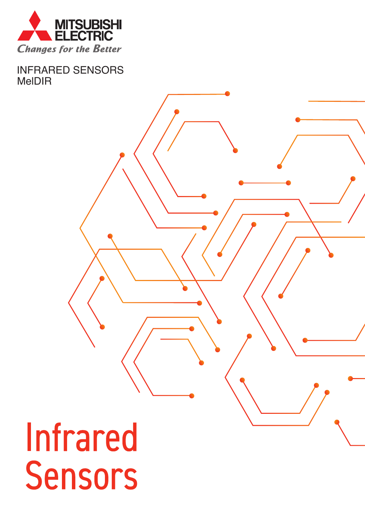

**INFRARED SENSORS MeIDIR** 

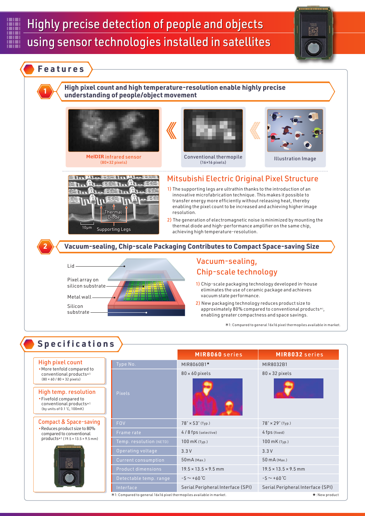



**High pixel count and high temperature-resolution enable highly precise understanding of people/object movement <sup>1</sup>**



(80×32 pixels)



Conventional thermopile ntional thermopile Illustration Image<br>(16×16 pixels)





#### Mitsubishi Electric Original Pixel Structure

- 1) The supporting legs are ultrathin thanks to the introduction of an innovative microfabrication technique. This makes it possible to transfer energy more efficiently without releasing heat, thereby enabling the pixel count to be increased and achieving higher image resolution.
- 2) The generation of electromagnetic noise is minimized by mounting the thermal diode and high-performance amplifier on the same chip, achieving high temperature-resolution.

**2 Vacuum-sealing, Chip-scale Packaging Contributes to Compact Space-saving Size**



## Vacuum-sealing, Chip-scale technology

- 1) Chip-scale packaging technology developed in-house eliminates the use of ceramic package and achieves vacuum state performance.
- 2) New packaging technology reduces product size to approximately 80% compared to conventional products $*$ <sup>1</sup>, enabling greater compactness and space savings.

1: Compared to general 16x16 pixel thermopiles available in market.

#### High pixel count ▪More tenfold compared to conventional products\*1  $(80 \times 60 / 80 \times 32 \text{ pixels})$ High temp. resolution ▪Fivefold compared to conventional products\*1 (by units of 0.1 ℃, 100mK) Compact & Space-saving ▪Reduces product size to 80% compared to conventional products $*1$  (19.5  $\times$  13.5  $\times$  9.5 mm) **Specifications** Type No. MIR8060B1<mark>★</mark> **MIR8060** series Pixels 80 × 60 pixels FOV 78°  $\times$  53° (Typ.) Operating voltage 2.3 V Current consumption 50mA (Max.) Product dimensions  $19.5 \times 13.5 \times 9.5$  mm  $-5 \sim +60$  °C Interface Serial Peripheral Interface (SPI) Serial Peripheral Interface (SPI) MIR8032B1 **MIR8032** series 80 × 32 pixels Frame rate 4/8 fps (selective) 4/8 fps (selective) Temp. resolution (NETD) 100 mK (Typ.) 100 mK (Typ.) 78° × 29° (Typ.) 3.3 V 50 mA (Max.)  $19.5 \times 13.5 \times 9.5$  mm  $-5 \sim +60$  ℃ 1: Compared to general 16x16 pixel thermopiles available in market. ★: New product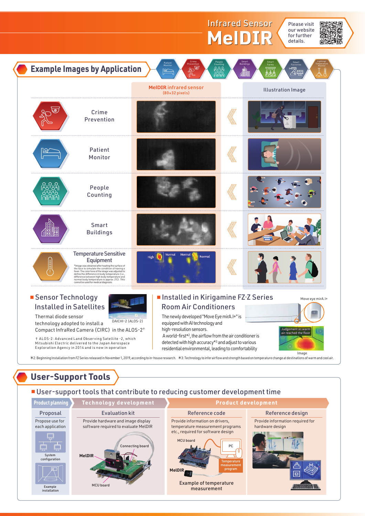

# **User-Support Tools**

#### ■ User-support tools that contribute to reducing customer development time